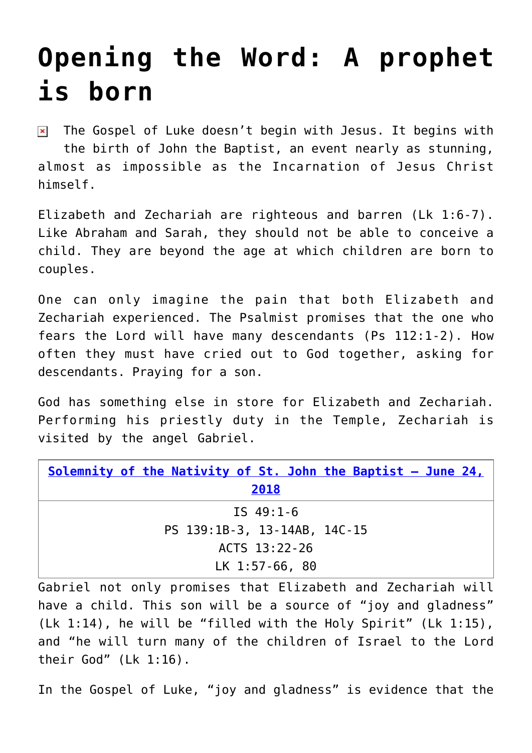## **[Opening the Word: A prophet](https://www.osvnews.com/2018/06/24/a-prophet-is-born/) [is born](https://www.osvnews.com/2018/06/24/a-prophet-is-born/)**

 $\triangleright$  The Gospel of Luke doesn't begin with Jesus. It begins with the birth of John the Baptist, an event nearly as stunning, almost as impossible as the Incarnation of Jesus Christ himself.

Elizabeth and Zechariah are righteous and barren (Lk 1:6-7). Like Abraham and Sarah, they should not be able to conceive a child. They are beyond the age at which children are born to couples.

One can only imagine the pain that both Elizabeth and Zechariah experienced. The Psalmist promises that the one who fears the Lord will have many descendants (Ps 112:1-2). How often they must have cried out to God together, asking for descendants. Praying for a son.

God has something else in store for Elizabeth and Zechariah. Performing his priestly duty in the Temple, Zechariah is visited by the angel Gabriel.

| Solemnity of the Nativity of St. John the Baptist - June 24, |
|--------------------------------------------------------------|
| 2018                                                         |
| IS $49:1-6$                                                  |
| PS 139:1B-3, 13-14AB, 14C-15                                 |
| ACTS 13:22-26                                                |
| $LK$ 1:57-66, 80                                             |

Gabriel not only promises that Elizabeth and Zechariah will have a child. This son will be a source of "joy and gladness" (Lk 1:14), he will be "filled with the Holy Spirit" (Lk 1:15), and "he will turn many of the children of Israel to the Lord their God" (Lk 1:16).

In the Gospel of Luke, "joy and gladness" is evidence that the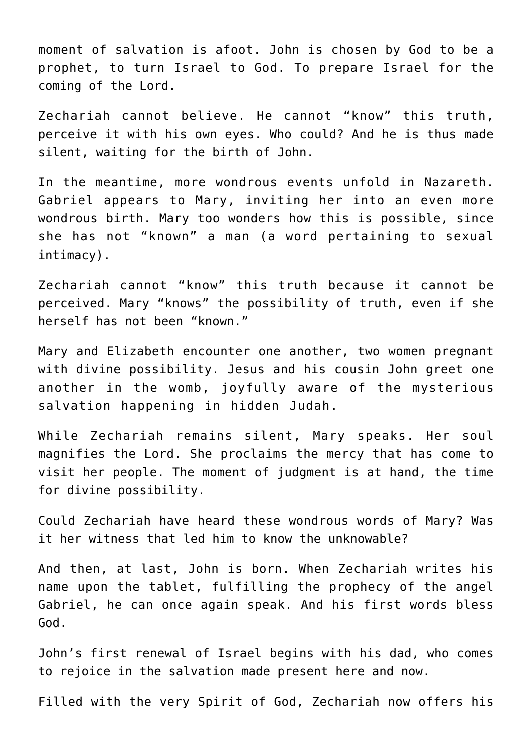moment of salvation is afoot. John is chosen by God to be a prophet, to turn Israel to God. To prepare Israel for the coming of the Lord.

Zechariah cannot believe. He cannot "know" this truth, perceive it with his own eyes. Who could? And he is thus made silent, waiting for the birth of John.

In the meantime, more wondrous events unfold in Nazareth. Gabriel appears to Mary, inviting her into an even more wondrous birth. Mary too wonders how this is possible, since she has not "known" a man (a word pertaining to sexual intimacy).

Zechariah cannot "know" this truth because it cannot be perceived. Mary "knows" the possibility of truth, even if she herself has not been "known."

Mary and Elizabeth encounter one another, two women pregnant with divine possibility. Jesus and his cousin John greet one another in the womb, joyfully aware of the mysterious salvation happening in hidden Judah.

While Zechariah remains silent, Mary speaks. Her soul magnifies the Lord. She proclaims the mercy that has come to visit her people. The moment of judgment is at hand, the time for divine possibility.

Could Zechariah have heard these wondrous words of Mary? Was it her witness that led him to know the unknowable?

And then, at last, John is born. When Zechariah writes his name upon the tablet, fulfilling the prophecy of the angel Gabriel, he can once again speak. And his first words bless God.

John's first renewal of Israel begins with his dad, who comes to rejoice in the salvation made present here and now.

Filled with the very Spirit of God, Zechariah now offers his